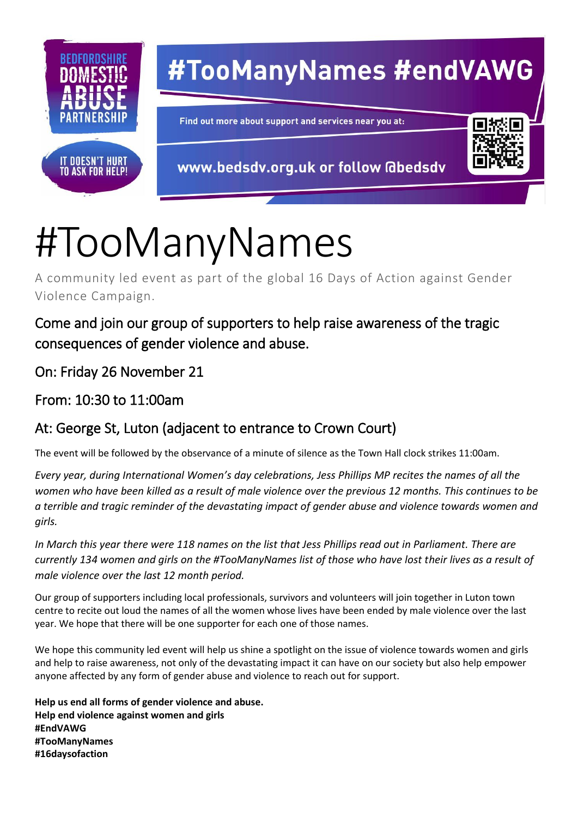

## #TooManyNames #endVAWG

Find out more about support and services near you at:

www.bedsdv.org.uk or follow @bedsdv

## #TooManyNames

A community led event as part of the global 16 Days of Action against Gender Violence Campaign.

Come and join our group of supporters to help raise awareness of the tragic consequences of gender violence and abuse.

On: Friday 26 November 21

From: 10:30 to 11:00am

## At: George St, Luton (adjacent to entrance to Crown Court)

The event will be followed by the observance of a minute of silence as the Town Hall clock strikes 11:00am.

*Every year, during International Women's day celebrations, Jess Phillips MP recites the names of all the women who have been killed as a result of male violence over the previous 12 months. This continues to be a terrible and tragic reminder of the devastating impact of gender abuse and violence towards women and girls.*

*In March this year there were 118 names on the list that Jess Phillips read out in Parliament. There are currently 134 women and girls on the #TooManyNames list of those who have lost their lives as a result of male violence over the last 12 month period.*

Our group of supporters including local professionals, survivors and volunteers will join together in Luton town centre to recite out loud the names of all the women whose lives have been ended by male violence over the last year. We hope that there will be one supporter for each one of those names.

We hope this community led event will help us shine a spotlight on the issue of violence towards women and girls and help to raise awareness, not only of the devastating impact it can have on our society but also help empower anyone affected by any form of gender abuse and violence to reach out for support.

**Help us end all forms of gender violence and abuse. Help end violence against women and girls #EndVAWG #TooManyNames #16daysofaction**